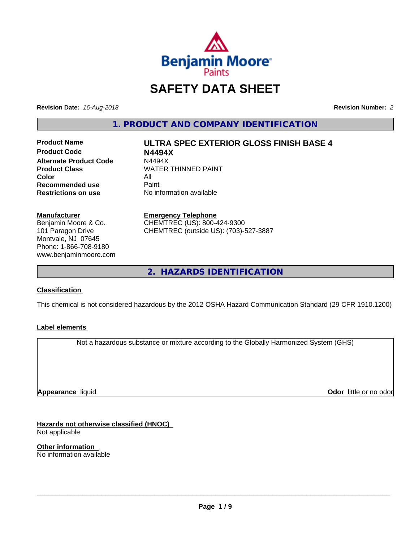

# **SAFETY DATA SHEET**

**Revision Date:** *16-Aug-2018* **Revision Number:** *2*

**1. PRODUCT AND COMPANY IDENTIFICATION**

**Product Code N4494X Alternate Product Code M4494X<br>Product Class NATER Color** All All<br>**Recommended use** Paint **Recommended use**<br>Restrictions on use

**Product Name ULTRA SPEC EXTERIOR GLOSS FINISH BASE 4**

**WATER THINNED PAINT No information available** 

#### **Manufacturer**

Benjamin Moore & Co. 101 Paragon Drive Montvale, NJ 07645 Phone: 1-866-708-9180 www.benjaminmoore.com

## **Emergency Telephone**

CHEMTREC (US): 800-424-9300 CHEMTREC (outside US): (703)-527-3887

**2. HAZARDS IDENTIFICATION**

#### **Classification**

This chemical is not considered hazardous by the 2012 OSHA Hazard Communication Standard (29 CFR 1910.1200)

#### **Label elements**

Not a hazardous substance or mixture according to the Globally Harmonized System (GHS)

**Appearance** liquid

**Odor** little or no odor

**Hazards not otherwise classified (HNOC)** Not applicable

**Other information** No information available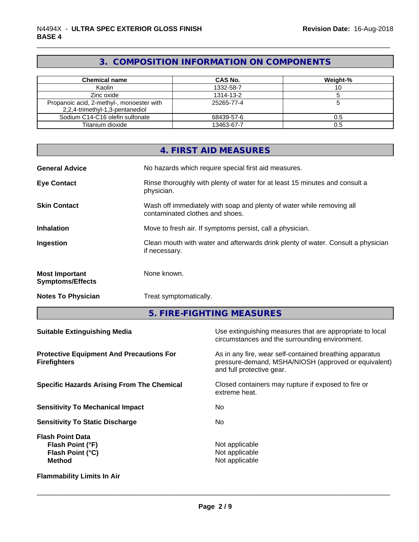## **3. COMPOSITION INFORMATION ON COMPONENTS**

| Chemical name                             | <b>CAS No.</b> | Weight-% |
|-------------------------------------------|----------------|----------|
| Kaolin                                    | 1332-58-7      |          |
| Zinc oxide                                | 1314-13-2      |          |
| Propanoic acid, 2-methyl-, monoester with | 25265-77-4     |          |
| 2,2,4-trimethyl-1,3-pentanediol           |                |          |
| Sodium C14-C16 olefin sulfonate           | 68439-57-6     | 0.5      |
| Titanium dioxide                          | 13463-67-7     | 0.5      |

|                                                                                  |                                                                                                   | 4. FIRST AID MEASURES                                                                                                                        |  |  |
|----------------------------------------------------------------------------------|---------------------------------------------------------------------------------------------------|----------------------------------------------------------------------------------------------------------------------------------------------|--|--|
| <b>General Advice</b>                                                            |                                                                                                   | No hazards which require special first aid measures.                                                                                         |  |  |
| <b>Eye Contact</b>                                                               | physician.                                                                                        | Rinse thoroughly with plenty of water for at least 15 minutes and consult a                                                                  |  |  |
| <b>Skin Contact</b>                                                              |                                                                                                   | Wash off immediately with soap and plenty of water while removing all<br>contaminated clothes and shoes.                                     |  |  |
| <b>Inhalation</b>                                                                |                                                                                                   | Move to fresh air. If symptoms persist, call a physician.                                                                                    |  |  |
| Ingestion                                                                        | Clean mouth with water and afterwards drink plenty of water. Consult a physician<br>if necessary. |                                                                                                                                              |  |  |
| <b>Most Important</b><br><b>Symptoms/Effects</b>                                 | None known.                                                                                       |                                                                                                                                              |  |  |
| <b>Notes To Physician</b>                                                        | Treat symptomatically.                                                                            |                                                                                                                                              |  |  |
|                                                                                  |                                                                                                   | 5. FIRE-FIGHTING MEASURES                                                                                                                    |  |  |
| <b>Suitable Extinguishing Media</b>                                              |                                                                                                   | Use extinguishing measures that are appropriate to local<br>circumstances and the surrounding environment.                                   |  |  |
| <b>Protective Equipment And Precautions For</b><br><b>Firefighters</b>           |                                                                                                   | As in any fire, wear self-contained breathing apparatus<br>pressure-demand, MSHA/NIOSH (approved or equivalent)<br>and full protective gear. |  |  |
| <b>Specific Hazards Arising From The Chemical</b>                                |                                                                                                   | Closed containers may rupture if exposed to fire or<br>extreme heat.                                                                         |  |  |
| <b>Sensitivity To Mechanical Impact</b>                                          |                                                                                                   | No                                                                                                                                           |  |  |
| <b>Sensitivity To Static Discharge</b>                                           |                                                                                                   | No                                                                                                                                           |  |  |
| <b>Flash Point Data</b><br>Flash Point (°F)<br>Flash Point (°C)<br><b>Method</b> |                                                                                                   | Not applicable<br>Not applicable<br>Not applicable                                                                                           |  |  |

**Flammability Limits In Air**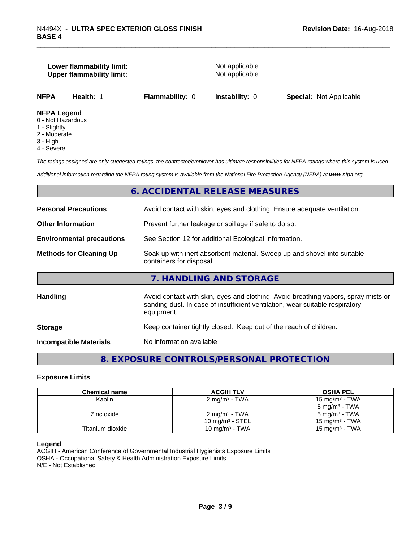#### **Lower flammability limit:** Not applicable **Upper flammability limit:** Not applicable

**NFPA Health:** 1 **Flammability:** 0 **Instability:** 0 **Special:** Not Applicable

#### **NFPA Legend**

- 0 Not Hazardous
- 1 Slightly
- 2 Moderate
- 3 High
- 4 Severe

*The ratings assigned are only suggested ratings, the contractor/employer has ultimate responsibilities for NFPA ratings where this system is used.*

*Additional information regarding the NFPA rating system is available from the National Fire Protection Agency (NFPA) at www.nfpa.org.*

#### **6. ACCIDENTAL RELEASE MEASURES**

| <b>Personal Precautions</b>      | Avoid contact with skin, eyes and clothing. Ensure adequate ventilation.                                                                                                         |  |  |
|----------------------------------|----------------------------------------------------------------------------------------------------------------------------------------------------------------------------------|--|--|
| <b>Other Information</b>         | Prevent further leakage or spillage if safe to do so.                                                                                                                            |  |  |
| <b>Environmental precautions</b> | See Section 12 for additional Ecological Information.                                                                                                                            |  |  |
| <b>Methods for Cleaning Up</b>   | Soak up with inert absorbent material. Sweep up and shovel into suitable<br>containers for disposal.                                                                             |  |  |
|                                  | 7. HANDLING AND STORAGE                                                                                                                                                          |  |  |
| <b>Handling</b>                  | Avoid contact with skin, eyes and clothing. Avoid breathing vapors, spray mists or<br>sanding dust. In case of insufficient ventilation, wear suitable respiratory<br>equipment. |  |  |
| <b>Storage</b>                   | Keep container tightly closed. Keep out of the reach of children.                                                                                                                |  |  |
| <b>Incompatible Materials</b>    | No information available                                                                                                                                                         |  |  |
|                                  |                                                                                                                                                                                  |  |  |

## **8. EXPOSURE CONTROLS/PERSONAL PROTECTION**

#### **Exposure Limits**

| <b>Chemical name</b> | <b>ACGIH TLV</b>         | <b>OSHA PEL</b>            |
|----------------------|--------------------------|----------------------------|
| Kaolin               | $2 \text{ mg/m}^3$ - TWA | 15 mg/m <sup>3</sup> - TWA |
|                      |                          | $5 \text{ mg/m}^3$ - TWA   |
| Zinc oxide           | $2 \text{ mg/m}^3$ - TWA | $5 \text{ mg/m}^3$ - TWA   |
|                      | 10 mg/m $3$ - STEL       | 15 mg/m <sup>3</sup> - TWA |
| Titanium dioxide     | 10 mg/m $3$ - TWA        | $15 \text{ mg/m}^3$ - TWA  |

#### **Legend**

ACGIH - American Conference of Governmental Industrial Hygienists Exposure Limits OSHA - Occupational Safety & Health Administration Exposure Limits N/E - Not Established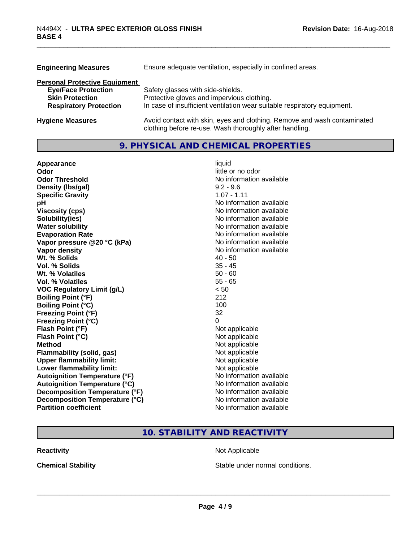| Ensure adequate ventilation, especially in confined areas.                                                                          |
|-------------------------------------------------------------------------------------------------------------------------------------|
|                                                                                                                                     |
| Safety glasses with side-shields.                                                                                                   |
| Protective gloves and impervious clothing.                                                                                          |
| In case of insufficient ventilation wear suitable respiratory equipment.                                                            |
| Avoid contact with skin, eyes and clothing. Remove and wash contaminated<br>clothing before re-use. Wash thoroughly after handling. |
|                                                                                                                                     |

## **9. PHYSICAL AND CHEMICAL PROPERTIES**

| Appearance                           | liquid                   |
|--------------------------------------|--------------------------|
| Odor                                 | little or no odor        |
| <b>Odor Threshold</b>                | No information available |
| Density (Ibs/gal)                    | $9.2 - 9.6$              |
| <b>Specific Gravity</b>              | $1.07 - 1.11$            |
| pH                                   | No information available |
| <b>Viscosity (cps)</b>               | No information available |
| Solubility(ies)                      | No information available |
| <b>Water solubility</b>              | No information available |
| <b>Evaporation Rate</b>              | No information available |
| Vapor pressure @20 °C (kPa)          | No information available |
| Vapor density                        | No information available |
| Wt. % Solids                         | $40 - 50$                |
| Vol. % Solids                        | $35 - 45$                |
| Wt. % Volatiles                      | $50 - 60$                |
| Vol. % Volatiles                     | $55 - 65$                |
| <b>VOC Regulatory Limit (g/L)</b>    | < 50                     |
| <b>Boiling Point (°F)</b>            | 212                      |
| <b>Boiling Point (°C)</b>            | 100                      |
| <b>Freezing Point (°F)</b>           | 32                       |
| <b>Freezing Point (°C)</b>           | 0                        |
| Flash Point (°F)                     | Not applicable           |
| Flash Point (°C)                     | Not applicable           |
| <b>Method</b>                        | Not applicable           |
| Flammability (solid, gas)            | Not applicable           |
| <b>Upper flammability limit:</b>     | Not applicable           |
| Lower flammability limit:            | Not applicable           |
| <b>Autoignition Temperature (°F)</b> | No information available |
| <b>Autoignition Temperature (°C)</b> | No information available |
| Decomposition Temperature (°F)       | No information available |
| Decomposition Temperature (°C)       | No information available |
| <b>Partition coefficient</b>         | No information available |

## **10. STABILITY AND REACTIVITY**

**Reactivity Not Applicable Not Applicable** 

**Chemical Stability Chemical Stability** Stable under normal conditions.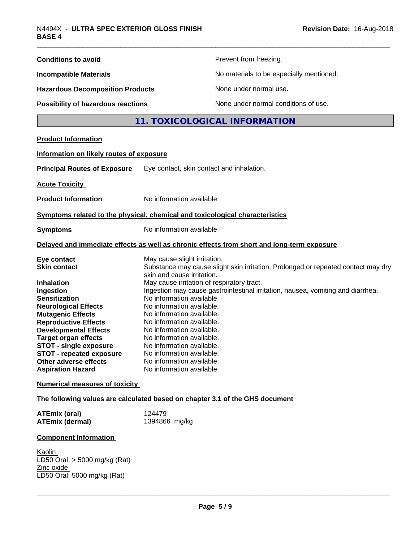| <b>Conditions to avoid</b>                                                                                                                                                                                                                                                                                                                                                     |                                                                                                                                                                                                                                                                                                                                                                                                         | Prevent from freezing.                                                                                                                                               |
|--------------------------------------------------------------------------------------------------------------------------------------------------------------------------------------------------------------------------------------------------------------------------------------------------------------------------------------------------------------------------------|---------------------------------------------------------------------------------------------------------------------------------------------------------------------------------------------------------------------------------------------------------------------------------------------------------------------------------------------------------------------------------------------------------|----------------------------------------------------------------------------------------------------------------------------------------------------------------------|
| <b>Incompatible Materials</b>                                                                                                                                                                                                                                                                                                                                                  |                                                                                                                                                                                                                                                                                                                                                                                                         | No materials to be especially mentioned.                                                                                                                             |
| <b>Hazardous Decomposition Products</b>                                                                                                                                                                                                                                                                                                                                        |                                                                                                                                                                                                                                                                                                                                                                                                         | None under normal use.                                                                                                                                               |
| <b>Possibility of hazardous reactions</b>                                                                                                                                                                                                                                                                                                                                      |                                                                                                                                                                                                                                                                                                                                                                                                         | None under normal conditions of use.                                                                                                                                 |
|                                                                                                                                                                                                                                                                                                                                                                                |                                                                                                                                                                                                                                                                                                                                                                                                         | 11. TOXICOLOGICAL INFORMATION                                                                                                                                        |
| <b>Product Information</b>                                                                                                                                                                                                                                                                                                                                                     |                                                                                                                                                                                                                                                                                                                                                                                                         |                                                                                                                                                                      |
| Information on likely routes of exposure                                                                                                                                                                                                                                                                                                                                       |                                                                                                                                                                                                                                                                                                                                                                                                         |                                                                                                                                                                      |
| <b>Principal Routes of Exposure</b>                                                                                                                                                                                                                                                                                                                                            | Eye contact, skin contact and inhalation.                                                                                                                                                                                                                                                                                                                                                               |                                                                                                                                                                      |
| <b>Acute Toxicity</b>                                                                                                                                                                                                                                                                                                                                                          |                                                                                                                                                                                                                                                                                                                                                                                                         |                                                                                                                                                                      |
| <b>Product Information</b>                                                                                                                                                                                                                                                                                                                                                     | No information available                                                                                                                                                                                                                                                                                                                                                                                |                                                                                                                                                                      |
| Symptoms related to the physical, chemical and toxicological characteristics                                                                                                                                                                                                                                                                                                   |                                                                                                                                                                                                                                                                                                                                                                                                         |                                                                                                                                                                      |
| <b>Symptoms</b>                                                                                                                                                                                                                                                                                                                                                                | No information available                                                                                                                                                                                                                                                                                                                                                                                |                                                                                                                                                                      |
|                                                                                                                                                                                                                                                                                                                                                                                |                                                                                                                                                                                                                                                                                                                                                                                                         | Delayed and immediate effects as well as chronic effects from short and long-term exposure                                                                           |
| Eye contact<br><b>Skin contact</b><br><b>Inhalation</b><br>Ingestion<br><b>Sensitization</b><br><b>Neurological Effects</b><br><b>Mutagenic Effects</b><br><b>Reproductive Effects</b><br><b>Developmental Effects</b><br><b>Target organ effects</b><br><b>STOT - single exposure</b><br><b>STOT - repeated exposure</b><br>Other adverse effects<br><b>Aspiration Hazard</b> | May cause slight irritation.<br>skin and cause irritation.<br>May cause irritation of respiratory tract.<br>No information available<br>No information available.<br>No information available.<br>No information available.<br>No information available.<br>No information available.<br>No information available.<br>No information available<br>No information available.<br>No information available | Substance may cause slight skin irritation. Prolonged or repeated contact may dry<br>Ingestion may cause gastrointestinal irritation, nausea, vomiting and diarrhea. |
| <b>Numerical measures of toxicity</b>                                                                                                                                                                                                                                                                                                                                          |                                                                                                                                                                                                                                                                                                                                                                                                         |                                                                                                                                                                      |
| The following values are calculated based on chapter 3.1 of the GHS document                                                                                                                                                                                                                                                                                                   |                                                                                                                                                                                                                                                                                                                                                                                                         |                                                                                                                                                                      |
| <b>ATEmix (oral)</b><br><b>ATEmix (dermal)</b>                                                                                                                                                                                                                                                                                                                                 | 124479<br>1394866 mg/kg                                                                                                                                                                                                                                                                                                                                                                                 |                                                                                                                                                                      |
| <b>Component Information</b>                                                                                                                                                                                                                                                                                                                                                   |                                                                                                                                                                                                                                                                                                                                                                                                         |                                                                                                                                                                      |
| Kaolin<br>LD50 Oral: $>$ 5000 mg/kg (Rat)<br>Zinc oxide<br>LD50 Oral: 5000 mg/kg (Rat)                                                                                                                                                                                                                                                                                         |                                                                                                                                                                                                                                                                                                                                                                                                         |                                                                                                                                                                      |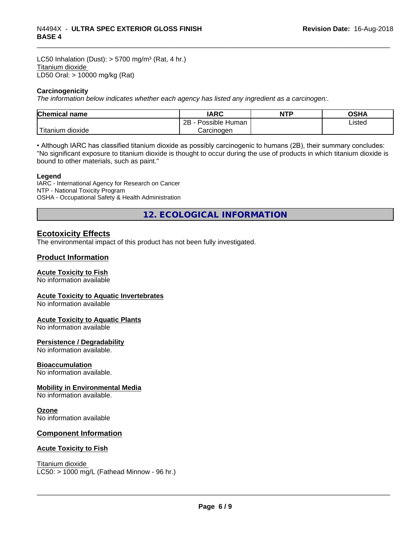LC50 Inhalation (Dust):  $> 5700$  mg/m<sup>3</sup> (Rat, 4 hr.) Titanium dioxide LD50 Oral: > 10000 mg/kg (Rat)

#### **Carcinogenicity**

*The information below indicateswhether each agency has listed any ingredient as a carcinogen:.*

| <b>Chemical</b><br>name  | <b>IARC</b>                    | <b>NTP</b> | ດເ⊔∧<br>UJNA |
|--------------------------|--------------------------------|------------|--------------|
|                          | . .<br>2B<br>Human<br>Possible |            | Listed       |
| $-1$<br>Fitanium dioxide | Carcinoɑen                     |            |              |

• Although IARC has classified titanium dioxide as possibly carcinogenic to humans (2B), their summary concludes: "No significant exposure to titanium dioxide is thought to occur during the use of products in which titanium dioxide is bound to other materials, such as paint."

#### **Legend**

IARC - International Agency for Research on Cancer NTP - National Toxicity Program OSHA - Occupational Safety & Health Administration

**12. ECOLOGICAL INFORMATION**

### **Ecotoxicity Effects**

The environmental impact of this product has not been fully investigated.

#### **Product Information**

#### **Acute Toxicity to Fish**

No information available

#### **Acute Toxicity to Aquatic Invertebrates**

No information available

#### **Acute Toxicity to Aquatic Plants**

No information available

#### **Persistence / Degradability**

No information available.

#### **Bioaccumulation**

No information available.

#### **Mobility in Environmental Media**

No information available.

#### **Ozone**

No information available

#### **Component Information**

#### **Acute Toxicity to Fish**

Titanium dioxide  $LC50:$  > 1000 mg/L (Fathead Minnow - 96 hr.)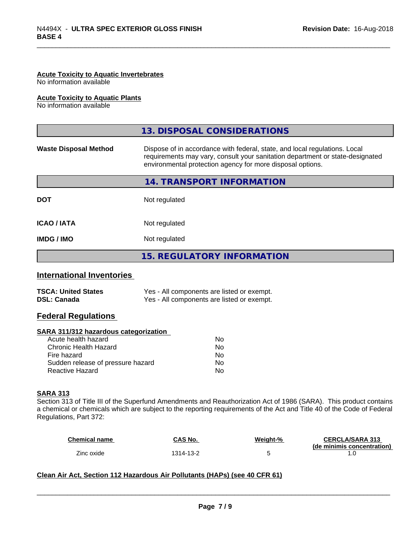#### **Acute Toxicity to Aquatic Invertebrates**

No information available

#### **Acute Toxicity to Aquatic Plants**

No information available

|                              | 13. DISPOSAL CONSIDERATIONS                                                                                                                                                                                               |
|------------------------------|---------------------------------------------------------------------------------------------------------------------------------------------------------------------------------------------------------------------------|
| <b>Waste Disposal Method</b> | Dispose of in accordance with federal, state, and local regulations. Local<br>requirements may vary, consult your sanitation department or state-designated<br>environmental protection agency for more disposal options. |
|                              | 14. TRANSPORT INFORMATION                                                                                                                                                                                                 |
| <b>DOT</b>                   | Not regulated                                                                                                                                                                                                             |
| <b>ICAO/IATA</b>             | Not regulated                                                                                                                                                                                                             |
| <b>IMDG / IMO</b>            | Not regulated                                                                                                                                                                                                             |
|                              | 15. REGULATORY INFORMATION                                                                                                                                                                                                |

#### **International Inventories**

| <b>TSCA: United States</b> | Yes - All components are listed or exempt. |
|----------------------------|--------------------------------------------|
| <b>DSL: Canada</b>         | Yes - All components are listed or exempt. |

#### **Federal Regulations**

#### **SARA 311/312 hazardous categorization**

| Acute health hazard               | No |
|-----------------------------------|----|
| Chronic Health Hazard             | Nο |
| Fire hazard                       | N٥ |
| Sudden release of pressure hazard | Nο |
| Reactive Hazard                   | N٥ |

#### **SARA 313**

Section 313 of Title III of the Superfund Amendments and Reauthorization Act of 1986 (SARA). This product contains a chemical or chemicals which are subject to the reporting requirements of the Act and Title 40 of the Code of Federal Regulations, Part 372:

| <b>Chemical name</b> | CAS No.   | Weight-% | <b>CERCLA/SARA 313</b>     |
|----------------------|-----------|----------|----------------------------|
|                      |           |          | (de minimis concentration) |
| Zinc oxide           | 1314-13-2 |          |                            |

 $\overline{\phantom{a}}$  ,  $\overline{\phantom{a}}$  ,  $\overline{\phantom{a}}$  ,  $\overline{\phantom{a}}$  ,  $\overline{\phantom{a}}$  ,  $\overline{\phantom{a}}$  ,  $\overline{\phantom{a}}$  ,  $\overline{\phantom{a}}$  ,  $\overline{\phantom{a}}$  ,  $\overline{\phantom{a}}$  ,  $\overline{\phantom{a}}$  ,  $\overline{\phantom{a}}$  ,  $\overline{\phantom{a}}$  ,  $\overline{\phantom{a}}$  ,  $\overline{\phantom{a}}$  ,  $\overline{\phantom{a}}$ 

#### **Clean Air Act,Section 112 Hazardous Air Pollutants (HAPs) (see 40 CFR 61)**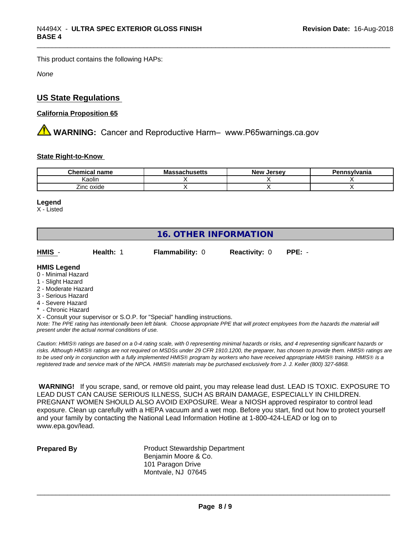This product contains the following HAPs:

*None*

## **US State Regulations**

#### **California Proposition 65**

**AN** WARNING: Cancer and Reproductive Harm– www.P65warnings.ca.gov

#### **State Right-to-Know**

| --<br>$~.$ nor $~.$<br>name<br> | IVIC<br>1711936W3 | Jersey.<br>Ne۱ | $\cdots$<br>anıa |
|---------------------------------|-------------------|----------------|------------------|
| .<br>Kaolin                     |                   |                |                  |
| Zinc oxide                      |                   |                |                  |

#### **Legend**

X - Listed

## **16. OTHER INFORMATION**

| HMIS | Health: | <b>Flammability: 0</b> | <b>Reactivity: 0 PPE: -</b> |  |
|------|---------|------------------------|-----------------------------|--|
|      |         |                        |                             |  |

#### **HMIS Legend**

- 0 Minimal Hazard
- 1 Slight Hazard
- 2 Moderate Hazard
- 3 Serious Hazard
- 4 Severe Hazard
- \* Chronic Hazard
- X Consult your supervisor or S.O.P. for "Special" handling instructions.

*Note: The PPE rating has intentionally been left blank. Choose appropriate PPE that will protect employees from the hazards the material will present under the actual normal conditions of use.*

*Caution: HMISÒ ratings are based on a 0-4 rating scale, with 0 representing minimal hazards or risks, and 4 representing significant hazards or risks. Although HMISÒ ratings are not required on MSDSs under 29 CFR 1910.1200, the preparer, has chosen to provide them. HMISÒ ratings are to be used only in conjunction with a fully implemented HMISÒ program by workers who have received appropriate HMISÒ training. HMISÒ is a registered trade and service mark of the NPCA. HMISÒ materials may be purchased exclusively from J. J. Keller (800) 327-6868.*

 **WARNING!** If you scrape, sand, or remove old paint, you may release lead dust. LEAD IS TOXIC. EXPOSURE TO LEAD DUST CAN CAUSE SERIOUS ILLNESS, SUCH AS BRAIN DAMAGE, ESPECIALLY IN CHILDREN. PREGNANT WOMEN SHOULD ALSO AVOID EXPOSURE.Wear a NIOSH approved respirator to control lead exposure. Clean up carefully with a HEPA vacuum and a wet mop. Before you start, find out how to protect yourself and your family by contacting the National Lead Information Hotline at 1-800-424-LEAD or log on to www.epa.gov/lead.

**Prepared By** Product Stewardship Department Benjamin Moore & Co. 101 Paragon Drive Montvale, NJ 07645